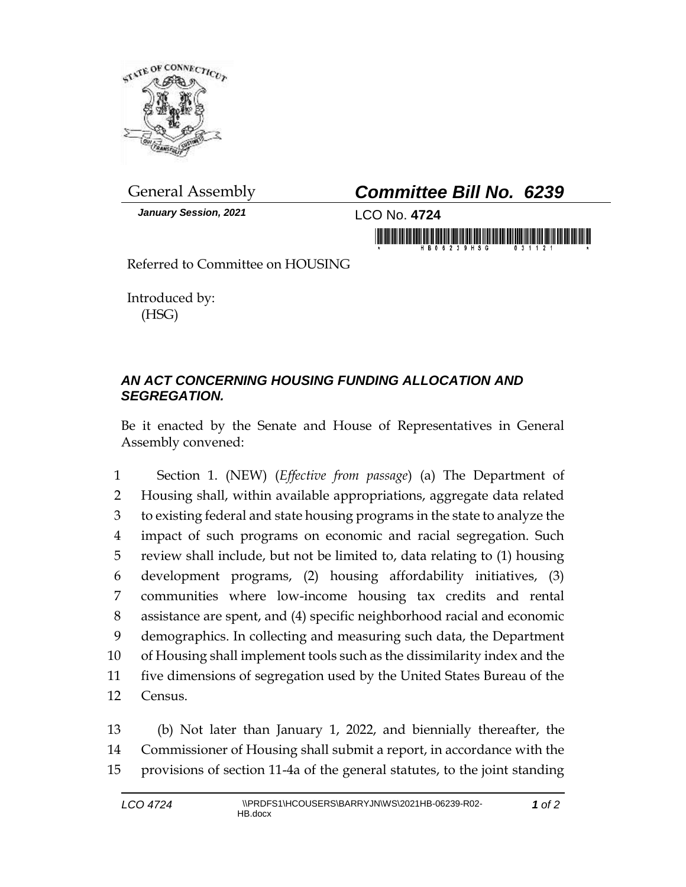

*January Session, 2021* LCO No. **4724**

## General Assembly *Committee Bill No. 6239*

in mornman ha brinininin filim morninini

Referred to Committee on HOUSING

Introduced by: (HSG)

## *AN ACT CONCERNING HOUSING FUNDING ALLOCATION AND SEGREGATION.*

Be it enacted by the Senate and House of Representatives in General Assembly convened:

 Section 1. (NEW) (*Effective from passage*) (a) The Department of Housing shall, within available appropriations, aggregate data related to existing federal and state housing programs in the state to analyze the impact of such programs on economic and racial segregation. Such review shall include, but not be limited to, data relating to (1) housing development programs, (2) housing affordability initiatives, (3) communities where low-income housing tax credits and rental assistance are spent, and (4) specific neighborhood racial and economic demographics. In collecting and measuring such data, the Department of Housing shall implement tools such as the dissimilarity index and the five dimensions of segregation used by the United States Bureau of the 12 Census.

13 (b) Not later than January 1, 2022, and biennially thereafter, the 14 Commissioner of Housing shall submit a report, in accordance with the 15 provisions of section 11-4a of the general statutes, to the joint standing